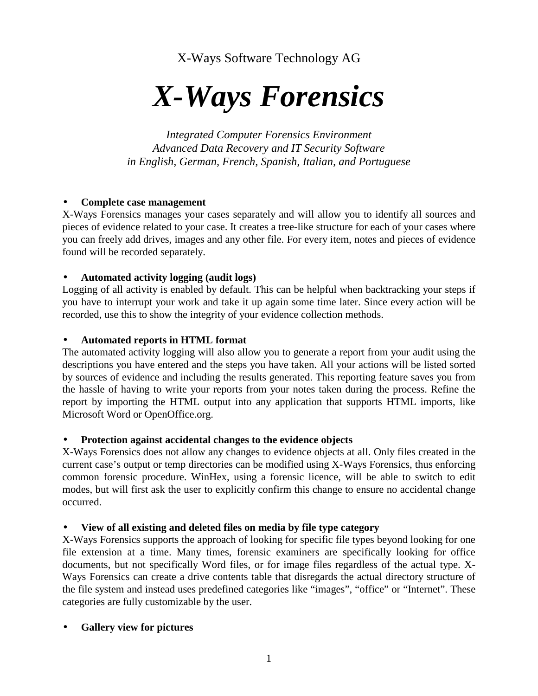X-Ways Software Technology AG

# *X-Ways Forensics*

*Integrated Computer Forensics Environment Advanced Data Recovery and IT Security Software in English, German, French, Spanish, Italian, and Portuguese* 

#### • **Complete case management**

X-Ways Forensics manages your cases separately and will allow you to identify all sources and pieces of evidence related to your case. It creates a tree-like structure for each of your cases where you can freely add drives, images and any other file. For every item, notes and pieces of evidence found will be recorded separately.

# • **Automated activity logging (audit logs)**

Logging of all activity is enabled by default. This can be helpful when backtracking your steps if you have to interrupt your work and take it up again some time later. Since every action will be recorded, use this to show the integrity of your evidence collection methods.

#### • **Automated reports in HTML format**

The automated activity logging will also allow you to generate a report from your audit using the descriptions you have entered and the steps you have taken. All your actions will be listed sorted by sources of evidence and including the results generated. This reporting feature saves you from the hassle of having to write your reports from your notes taken during the process. Refine the report by importing the HTML output into any application that supports HTML imports, like Microsoft Word or OpenOffice.org.

# • **Protection against accidental changes to the evidence objects**

X-Ways Forensics does not allow any changes to evidence objects at all. Only files created in the current case's output or temp directories can be modified using X-Ways Forensics, thus enforcing common forensic procedure. WinHex, using a forensic licence, will be able to switch to edit modes, but will first ask the user to explicitly confirm this change to ensure no accidental change occurred.

# • **View of all existing and deleted files on media by file type category**

X-Ways Forensics supports the approach of looking for specific file types beyond looking for one file extension at a time. Many times, forensic examiners are specifically looking for office documents, but not specifically Word files, or for image files regardless of the actual type. X-Ways Forensics can create a drive contents table that disregards the actual directory structure of the file system and instead uses predefined categories like "images", "office" or "Internet". These categories are fully customizable by the user.

# • **Gallery view for pictures**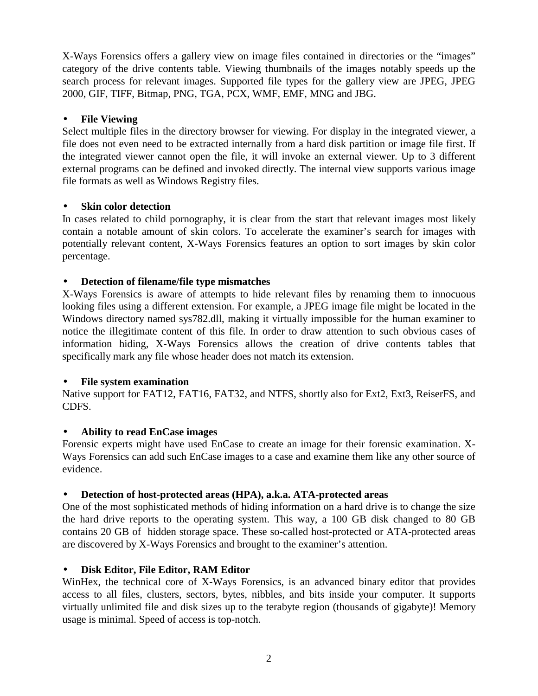X-Ways Forensics offers a gallery view on image files contained in directories or the "images" category of the drive contents table. Viewing thumbnails of the images notably speeds up the search process for relevant images. Supported file types for the gallery view are JPEG, JPEG 2000, GIF, TIFF, Bitmap, PNG, TGA, PCX, WMF, EMF, MNG and JBG.

# • **File Viewing**

Select multiple files in the directory browser for viewing. For display in the integrated viewer, a file does not even need to be extracted internally from a hard disk partition or image file first. If the integrated viewer cannot open the file, it will invoke an external viewer. Up to 3 different external programs can be defined and invoked directly. The internal view supports various image file formats as well as Windows Registry files.

# **Skin color detection**

In cases related to child pornography, it is clear from the start that relevant images most likely contain a notable amount of skin colors. To accelerate the examiner's search for images with potentially relevant content, X-Ways Forensics features an option to sort images by skin color percentage.

# • **Detection of filename/file type mismatches**

X-Ways Forensics is aware of attempts to hide relevant files by renaming them to innocuous looking files using a different extension. For example, a JPEG image file might be located in the Windows directory named sys782.dll, making it virtually impossible for the human examiner to notice the illegitimate content of this file. In order to draw attention to such obvious cases of information hiding, X-Ways Forensics allows the creation of drive contents tables that specifically mark any file whose header does not match its extension.

# • **File system examination**

Native support for FAT12, FAT16, FAT32, and NTFS, shortly also for Ext2, Ext3, ReiserFS, and CDFS.

# • **Ability to read EnCase images**

Forensic experts might have used EnCase to create an image for their forensic examination. X-Ways Forensics can add such EnCase images to a case and examine them like any other source of evidence.

# • **Detection of host-protected areas (HPA), a.k.a. ATA-protected areas**

One of the most sophisticated methods of hiding information on a hard drive is to change the size the hard drive reports to the operating system. This way, a 100 GB disk changed to 80 GB contains 20 GB of hidden storage space. These so-called host-protected or ATA-protected areas are discovered by X-Ways Forensics and brought to the examiner's attention.

# • **Disk Editor, File Editor, RAM Editor**

WinHex, the technical core of X-Ways Forensics, is an advanced binary editor that provides access to all files, clusters, sectors, bytes, nibbles, and bits inside your computer. It supports virtually unlimited file and disk sizes up to the terabyte region (thousands of gigabyte)! Memory usage is minimal. Speed of access is top-notch.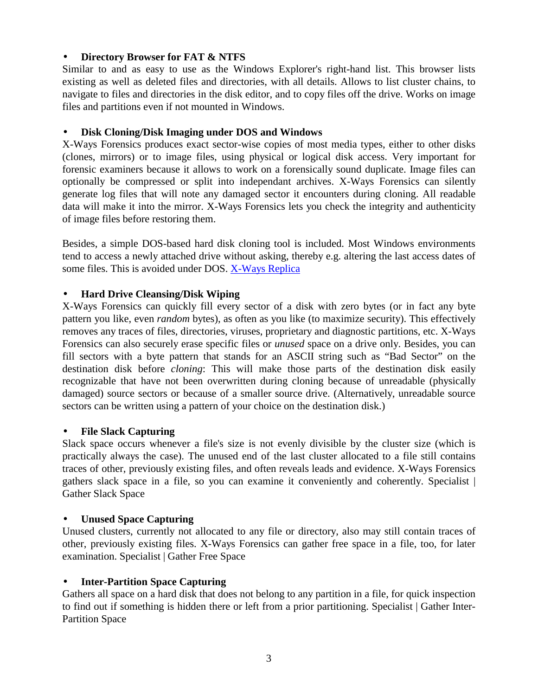#### • **Directory Browser for FAT & NTFS**

Similar to and as easy to use as the Windows Explorer's right-hand list. This browser lists existing as well as deleted files and directories, with all details. Allows to list cluster chains, to navigate to files and directories in the disk editor, and to copy files off the drive. Works on image files and partitions even if not mounted in Windows.

#### • **Disk Cloning/Disk Imaging under DOS and Windows**

X-Ways Forensics produces exact sector-wise copies of most media types, either to other disks (clones, mirrors) or to image files, using physical or logical disk access. Very important for forensic examiners because it allows to work on a forensically sound duplicate. Image files can optionally be compressed or split into independant archives. X-Ways Forensics can silently generate log files that will note any damaged sector it encounters during cloning. All readable data will make it into the mirror. X-Ways Forensics lets you check the integrity and authenticity of image files before restoring them.

Besides, a simple DOS-based hard disk cloning tool is included. Most Windows environments tend to access a newly attached drive without asking, thereby e.g. altering the last access dates of some files. This is avoided under DOS. X-Ways Replica

#### • **Hard Drive Cleansing/Disk Wiping**

X-Ways Forensics can quickly fill every sector of a disk with zero bytes (or in fact any byte pattern you like, even *random* bytes), as often as you like (to maximize security). This effectively removes any traces of files, directories, viruses, proprietary and diagnostic partitions, etc. X-Ways Forensics can also securely erase specific files or *unused* space on a drive only. Besides, you can fill sectors with a byte pattern that stands for an ASCII string such as "Bad Sector" on the destination disk before *cloning*: This will make those parts of the destination disk easily recognizable that have not been overwritten during cloning because of unreadable (physically damaged) source sectors or because of a smaller source drive. (Alternatively, unreadable source sectors can be written using a pattern of your choice on the destination disk.)

#### • **File Slack Capturing**

Slack space occurs whenever a file's size is not evenly divisible by the cluster size (which is practically always the case). The unused end of the last cluster allocated to a file still contains traces of other, previously existing files, and often reveals leads and evidence. X-Ways Forensics gathers slack space in a file, so you can examine it conveniently and coherently. Specialist | Gather Slack Space

#### • **Unused Space Capturing**

Unused clusters, currently not allocated to any file or directory, also may still contain traces of other, previously existing files. X-Ways Forensics can gather free space in a file, too, for later examination. Specialist | Gather Free Space

#### • **Inter-Partition Space Capturing**

Gathers all space on a hard disk that does not belong to any partition in a file, for quick inspection to find out if something is hidden there or left from a prior partitioning. Specialist | Gather Inter-Partition Space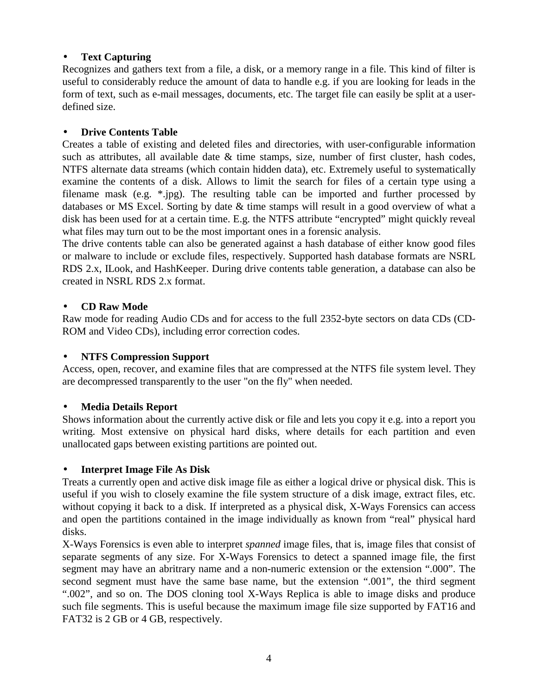# • **Text Capturing**

Recognizes and gathers text from a file, a disk, or a memory range in a file. This kind of filter is useful to considerably reduce the amount of data to handle e.g. if you are looking for leads in the form of text, such as e-mail messages, documents, etc. The target file can easily be split at a userdefined size.

# • **Drive Contents Table**

Creates a table of existing and deleted files and directories, with user-configurable information such as attributes, all available date & time stamps, size, number of first cluster, hash codes, NTFS alternate data streams (which contain hidden data), etc. Extremely useful to systematically examine the contents of a disk. Allows to limit the search for files of a certain type using a filename mask (e.g. \*.jpg). The resulting table can be imported and further processed by databases or MS Excel. Sorting by date & time stamps will result in a good overview of what a disk has been used for at a certain time. E.g. the NTFS attribute "encrypted" might quickly reveal what files may turn out to be the most important ones in a forensic analysis.

The drive contents table can also be generated against a hash database of either know good files or malware to include or exclude files, respectively. Supported hash database formats are NSRL RDS 2.x, ILook, and HashKeeper. During drive contents table generation, a database can also be created in NSRL RDS 2.x format.

# • **CD Raw Mode**

Raw mode for reading Audio CDs and for access to the full 2352-byte sectors on data CDs (CD-ROM and Video CDs), including error correction codes.

# • **NTFS Compression Support**

Access, open, recover, and examine files that are compressed at the NTFS file system level. They are decompressed transparently to the user "on the fly" when needed.

# • **Media Details Report**

Shows information about the currently active disk or file and lets you copy it e.g. into a report you writing. Most extensive on physical hard disks, where details for each partition and even unallocated gaps between existing partitions are pointed out.

# • **Interpret Image File As Disk**

Treats a currently open and active disk image file as either a logical drive or physical disk. This is useful if you wish to closely examine the file system structure of a disk image, extract files, etc. without copying it back to a disk. If interpreted as a physical disk, X-Ways Forensics can access and open the partitions contained in the image individually as known from "real" physical hard disks.

X-Ways Forensics is even able to interpret *spanned* image files, that is, image files that consist of separate segments of any size. For X-Ways Forensics to detect a spanned image file, the first segment may have an abritrary name and a non-numeric extension or the extension ".000". The second segment must have the same base name, but the extension ".001", the third segment ".002", and so on. The DOS cloning tool X-Ways Replica is able to image disks and produce such file segments. This is useful because the maximum image file size supported by FAT16 and FAT32 is 2 GB or 4 GB, respectively.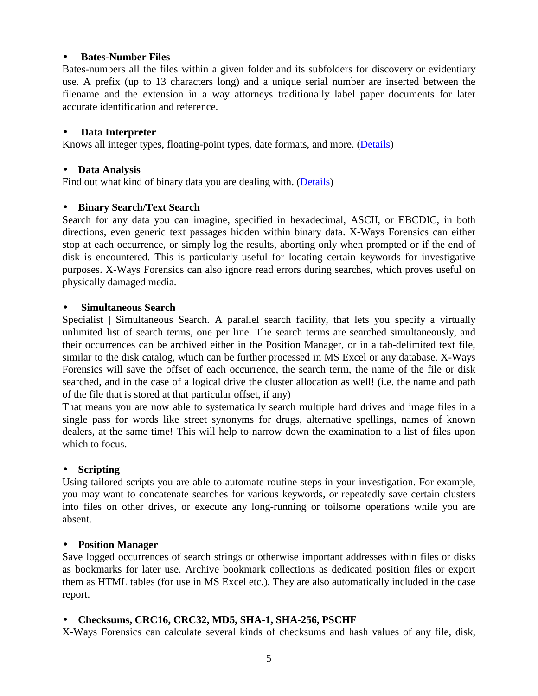#### • **Bates-Number Files**

Bates-numbers all the files within a given folder and its subfolders for discovery or evidentiary use. A prefix (up to 13 characters long) and a unique serial number are inserted between the filename and the extension in a way attorneys traditionally label paper documents for later accurate identification and reference.

#### • **Data Interpreter**

Knows all integer types, floating-point types, date formats, and more. (Details)

#### • **Data Analysis**

Find out what kind of binary data you are dealing with. (Details)

#### • **Binary Search/Text Search**

Search for any data you can imagine, specified in hexadecimal, ASCII, or EBCDIC, in both directions, even generic text passages hidden within binary data. X-Ways Forensics can either stop at each occurrence, or simply log the results, aborting only when prompted or if the end of disk is encountered. This is particularly useful for locating certain keywords for investigative purposes. X-Ways Forensics can also ignore read errors during searches, which proves useful on physically damaged media.

#### • **Simultaneous Search**

Specialist | Simultaneous Search. A parallel search facility, that lets you specify a virtually unlimited list of search terms, one per line. The search terms are searched simultaneously, and their occurrences can be archived either in the Position Manager, or in a tab-delimited text file, similar to the disk catalog, which can be further processed in MS Excel or any database. X-Ways Forensics will save the offset of each occurrence, the search term, the name of the file or disk searched, and in the case of a logical drive the cluster allocation as well! (i.e. the name and path of the file that is stored at that particular offset, if any)

That means you are now able to systematically search multiple hard drives and image files in a single pass for words like street synonyms for drugs, alternative spellings, names of known dealers, at the same time! This will help to narrow down the examination to a list of files upon which to focus.

# • **Scripting**

Using tailored scripts you are able to automate routine steps in your investigation. For example, you may want to concatenate searches for various keywords, or repeatedly save certain clusters into files on other drives, or execute any long-running or toilsome operations while you are absent.

#### • **Position Manager**

Save logged occurrences of search strings or otherwise important addresses within files or disks as bookmarks for later use. Archive bookmark collections as dedicated position files or export them as HTML tables (for use in MS Excel etc.). They are also automatically included in the case report.

#### • **Checksums, CRC16, CRC32, MD5, SHA-1, SHA-256, PSCHF**

X-Ways Forensics can calculate several kinds of checksums and hash values of any file, disk,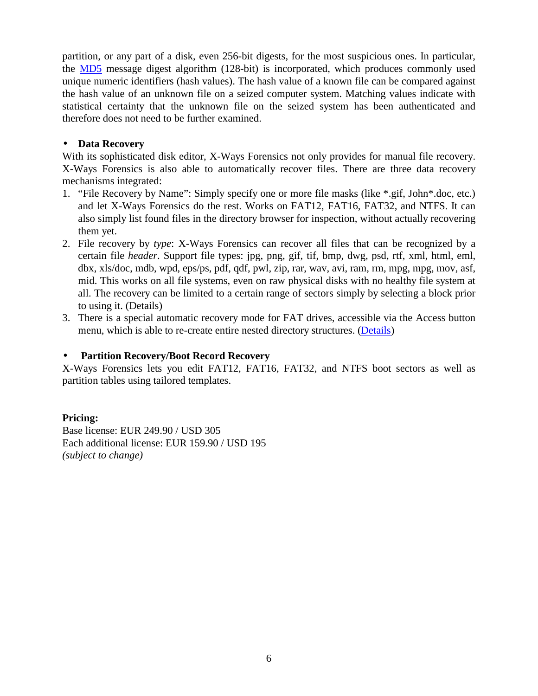partition, or any part of a disk, even 256-bit digests, for the most suspicious ones. In particular, the MD5 message digest algorithm (128-bit) is incorporated, which produces commonly used unique numeric identifiers (hash values). The hash value of a known file can be compared against the hash value of an unknown file on a seized computer system. Matching values indicate with statistical certainty that the unknown file on the seized system has been authenticated and therefore does not need to be further examined.

# • **Data Recovery**

With its sophisticated disk editor, X-Ways Forensics not only provides for manual file recovery. X-Ways Forensics is also able to automatically recover files. There are three data recovery mechanisms integrated:

- 1. "File Recovery by Name": Simply specify one or more file masks (like \*.gif, John\*.doc, etc.) and let X-Ways Forensics do the rest. Works on FAT12, FAT16, FAT32, and NTFS. It can also simply list found files in the directory browser for inspection, without actually recovering them yet.
- 2. File recovery by *type*: X-Ways Forensics can recover all files that can be recognized by a certain file *header*. Support file types: jpg, png, gif, tif, bmp, dwg, psd, rtf, xml, html, eml, dbx, xls/doc, mdb, wpd, eps/ps, pdf, qdf, pwl, zip, rar, wav, avi, ram, rm, mpg, mpg, mov, asf, mid. This works on all file systems, even on raw physical disks with no healthy file system at all. The recovery can be limited to a certain range of sectors simply by selecting a block prior to using it. (Details)
- 3. There is a special automatic recovery mode for FAT drives, accessible via the Access button menu, which is able to re-create entire nested directory structures. (Details)

# • **Partition Recovery/Boot Record Recovery**

X-Ways Forensics lets you edit FAT12, FAT16, FAT32, and NTFS boot sectors as well as partition tables using tailored templates.

# **Pricing:**

Base license: EUR 249.90 / USD 305 Each additional license: EUR 159.90 / USD 195 *(subject to change)*